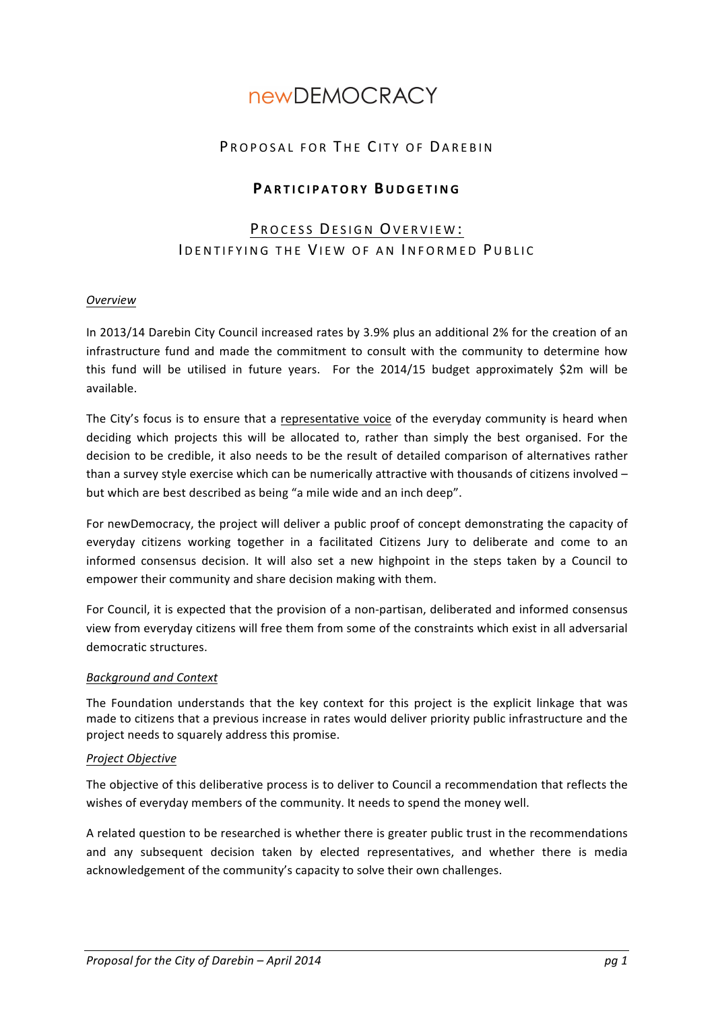# **newDEMOCRACY**

## PROPOSAL FOR THE CITY OF DAREBIN

## **P ARTICIPATORY BUDGETING**

## PROCESS DESIGN OVERVIEW: IDENTIFYING THE VIEW OF AN INFORMED PUBLIC

#### *Overview*

In 2013/14 Darebin City Council increased rates by 3.9% plus an additional 2% for the creation of an infrastructure fund and made the commitment to consult with the community to determine how this fund will be utilised in future years. For the  $2014/15$  budget approximately \$2m will be available.

The City's focus is to ensure that a representative voice of the everyday community is heard when deciding which projects this will be allocated to, rather than simply the best organised. For the decision to be credible, it also needs to be the result of detailed comparison of alternatives rather than a survey style exercise which can be numerically attractive with thousands of citizens involved  $$ but which are best described as being "a mile wide and an inch deep".

For newDemocracy, the project will deliver a public proof of concept demonstrating the capacity of everyday citizens working together in a facilitated Citizens Jury to deliberate and come to an informed consensus decision. It will also set a new highpoint in the steps taken by a Council to empower their community and share decision making with them.

For Council, it is expected that the provision of a non-partisan, deliberated and informed consensus view from everyday citizens will free them from some of the constraints which exist in all adversarial democratic structures.

#### *Background and Context*

The Foundation understands that the key context for this project is the explicit linkage that was made to citizens that a previous increase in rates would deliver priority public infrastructure and the project needs to squarely address this promise.

#### *Project Objective*

The objective of this deliberative process is to deliver to Council a recommendation that reflects the wishes of everyday members of the community. It needs to spend the money well.

A related question to be researched is whether there is greater public trust in the recommendations and any subsequent decision taken by elected representatives, and whether there is media acknowledgement of the community's capacity to solve their own challenges.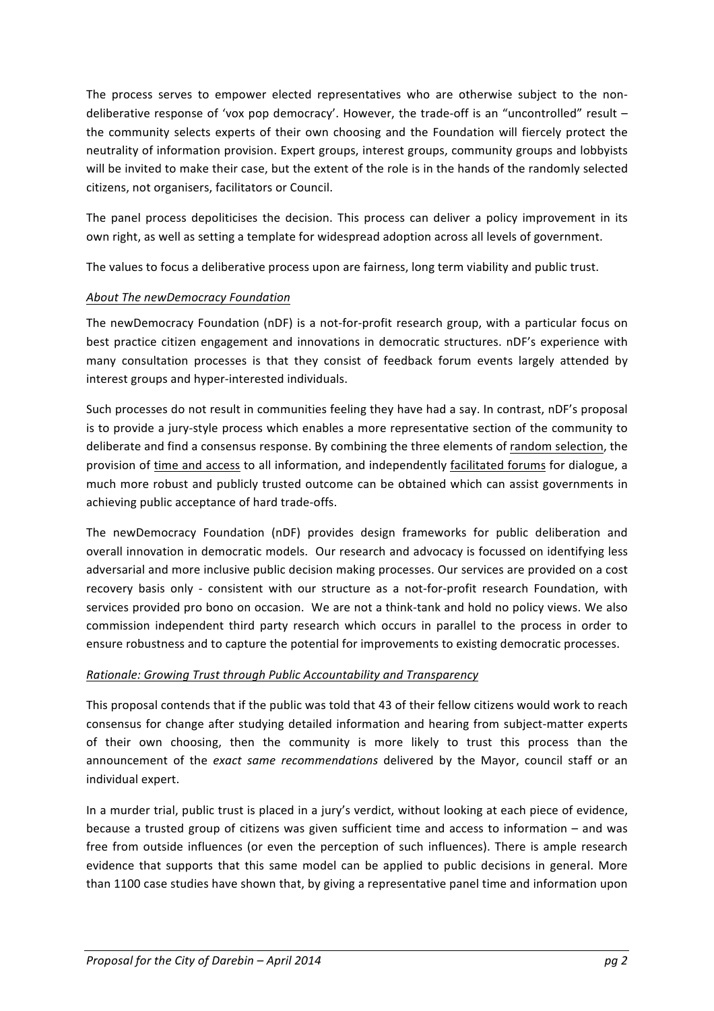The process serves to empower elected representatives who are otherwise subject to the nondeliberative response of 'vox pop democracy'. However, the trade-off is an "uncontrolled" result  $$ the community selects experts of their own choosing and the Foundation will fiercely protect the neutrality of information provision. Expert groups, interest groups, community groups and lobbyists will be invited to make their case, but the extent of the role is in the hands of the randomly selected citizens, not organisers, facilitators or Council.

The panel process depoliticises the decision. This process can deliver a policy improvement in its own right, as well as setting a template for widespread adoption across all levels of government.

The values to focus a deliberative process upon are fairness, long term viability and public trust.

## **About The newDemocracy Foundation**

The newDemocracy Foundation (nDF) is a not-for-profit research group, with a particular focus on best practice citizen engagement and innovations in democratic structures. nDF's experience with many consultation processes is that they consist of feedback forum events largely attended by interest groups and hyper-interested individuals.

Such processes do not result in communities feeling they have had a say. In contrast, nDF's proposal is to provide a jury-style process which enables a more representative section of the community to deliberate and find a consensus response. By combining the three elements of random selection, the provision of time and access to all information, and independently facilitated forums for dialogue, a much more robust and publicly trusted outcome can be obtained which can assist governments in achieving public acceptance of hard trade-offs.

The newDemocracy Foundation (nDF) provides design frameworks for public deliberation and overall innovation in democratic models. Our research and advocacy is focussed on identifying less adversarial and more inclusive public decision making processes. Our services are provided on a cost recovery basis only - consistent with our structure as a not-for-profit research Foundation, with services provided pro bono on occasion. We are not a think-tank and hold no policy views. We also commission independent third party research which occurs in parallel to the process in order to ensure robustness and to capture the potential for improvements to existing democratic processes.

#### *Rationale: Growing Trust through Public Accountability and Transparency*

This proposal contends that if the public was told that 43 of their fellow citizens would work to reach consensus for change after studying detailed information and hearing from subject-matter experts of their own choosing, then the community is more likely to trust this process than the announcement of the *exact same recommendations* delivered by the Mayor, council staff or an individual expert.

In a murder trial, public trust is placed in a jury's verdict, without looking at each piece of evidence, because a trusted group of citizens was given sufficient time and access to information  $-$  and was free from outside influences (or even the perception of such influences). There is ample research evidence that supports that this same model can be applied to public decisions in general. More than 1100 case studies have shown that, by giving a representative panel time and information upon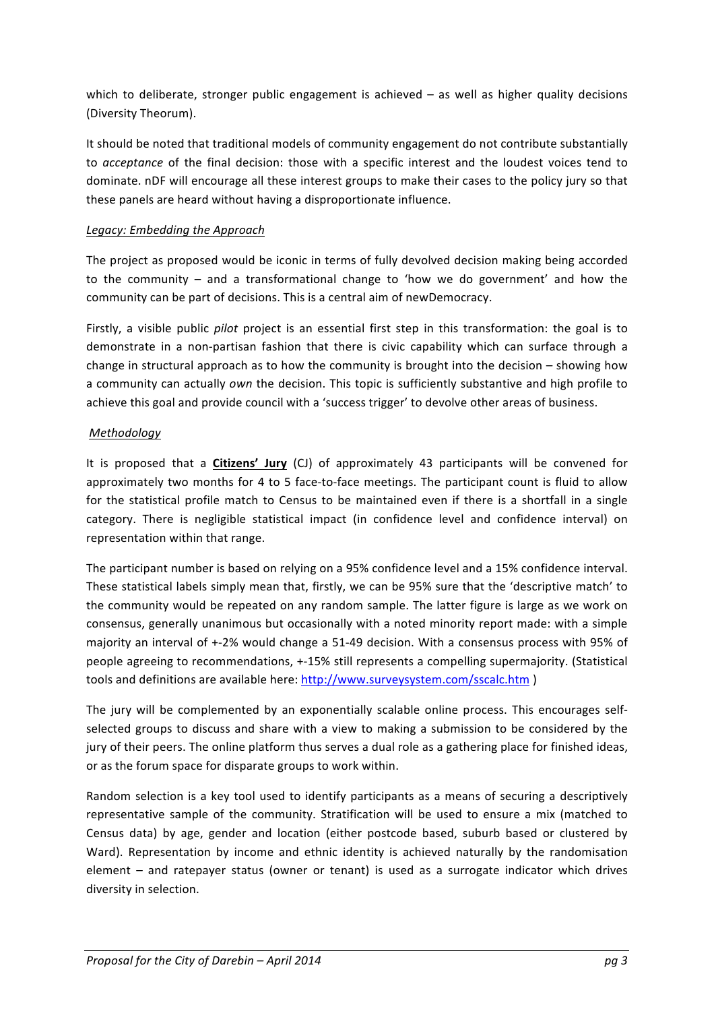which to deliberate, stronger public engagement is achieved  $-$  as well as higher quality decisions (Diversity Theorum). 

It should be noted that traditional models of community engagement do not contribute substantially to *acceptance* of the final decision: those with a specific interest and the loudest voices tend to dominate. nDF will encourage all these interest groups to make their cases to the policy jury so that these panels are heard without having a disproportionate influence.

#### Legacy: Embedding the Approach

The project as proposed would be iconic in terms of fully devolved decision making being accorded to the community  $-$  and a transformational change to 'how we do government' and how the community can be part of decisions. This is a central aim of newDemocracy.

Firstly, a visible public *pilot* project is an essential first step in this transformation: the goal is to demonstrate in a non-partisan fashion that there is civic capability which can surface through a change in structural approach as to how the community is brought into the decision  $-$  showing how a community can actually *own* the decision. This topic is sufficiently substantive and high profile to achieve this goal and provide council with a 'success trigger' to devolve other areas of business.

## *Methodology*

It is proposed that a **Citizens' Jury** (CJ) of approximately 43 participants will be convened for approximately two months for 4 to 5 face-to-face meetings. The participant count is fluid to allow for the statistical profile match to Census to be maintained even if there is a shortfall in a single category. There is negligible statistical impact (in confidence level and confidence interval) on representation within that range.

The participant number is based on relying on a 95% confidence level and a 15% confidence interval. These statistical labels simply mean that, firstly, we can be 95% sure that the 'descriptive match' to the community would be repeated on any random sample. The latter figure is large as we work on consensus, generally unanimous but occasionally with a noted minority report made: with a simple majority an interval of +-2% would change a 51-49 decision. With a consensus process with 95% of people agreeing to recommendations, +-15% still represents a compelling supermajority. (Statistical tools and definitions are available here: http://www.surveysystem.com/sscalc.htm )

The jury will be complemented by an exponentially scalable online process. This encourages selfselected groups to discuss and share with a view to making a submission to be considered by the jury of their peers. The online platform thus serves a dual role as a gathering place for finished ideas, or as the forum space for disparate groups to work within.

Random selection is a key tool used to identify participants as a means of securing a descriptively representative sample of the community. Stratification will be used to ensure a mix (matched to Census data) by age, gender and location (either postcode based, suburb based or clustered by Ward). Representation by income and ethnic identity is achieved naturally by the randomisation element – and ratepayer status (owner or tenant) is used as a surrogate indicator which drives diversity in selection.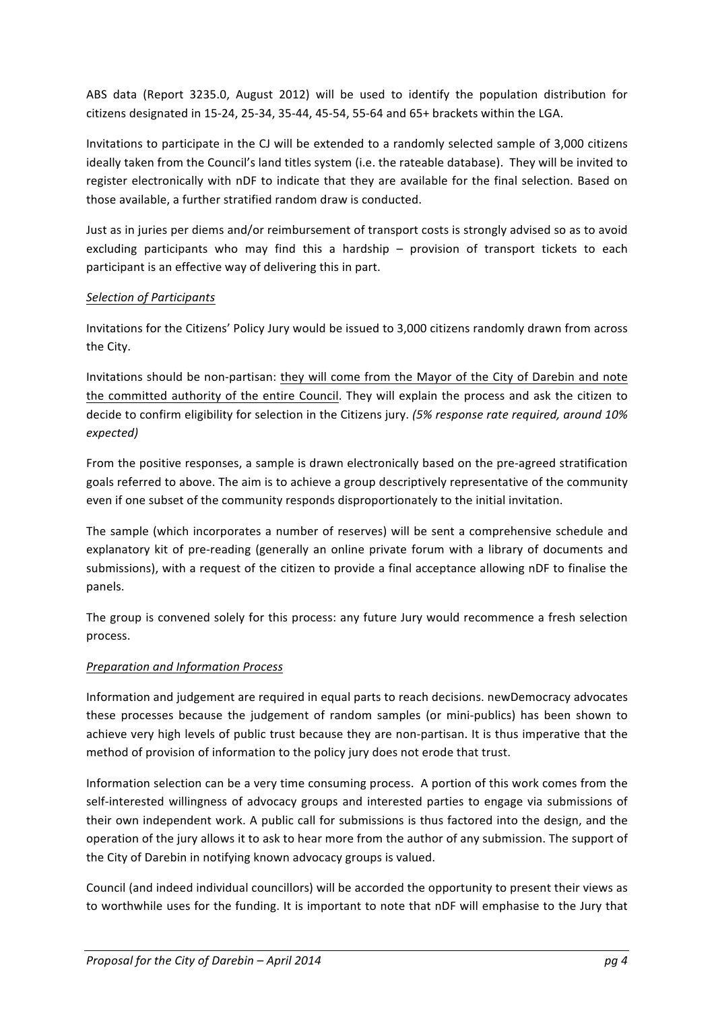ABS data (Report 3235.0, August 2012) will be used to identify the population distribution for citizens designated in 15-24, 25-34, 35-44, 45-54, 55-64 and 65+ brackets within the LGA.

Invitations to participate in the CJ will be extended to a randomly selected sample of 3,000 citizens ideally taken from the Council's land titles system (i.e. the rateable database). They will be invited to register electronically with nDF to indicate that they are available for the final selection. Based on those available, a further stratified random draw is conducted.

Just as in juries per diems and/or reimbursement of transport costs is strongly advised so as to avoid excluding participants who may find this a hardship – provision of transport tickets to each participant is an effective way of delivering this in part.

## *Selection of Participants*

Invitations for the Citizens' Policy Jury would be issued to 3,000 citizens randomly drawn from across the City.

Invitations should be non-partisan: they will come from the Mayor of the City of Darebin and note the committed authority of the entire Council. They will explain the process and ask the citizen to decide to confirm eligibility for selection in the Citizens jury. (5% response rate required, around 10% *expected)*

From the positive responses, a sample is drawn electronically based on the pre-agreed stratification goals referred to above. The aim is to achieve a group descriptively representative of the community even if one subset of the community responds disproportionately to the initial invitation.

The sample (which incorporates a number of reserves) will be sent a comprehensive schedule and explanatory kit of pre-reading (generally an online private forum with a library of documents and submissions), with a request of the citizen to provide a final acceptance allowing nDF to finalise the panels.

The group is convened solely for this process: any future Jury would recommence a fresh selection process.

## *Preparation and Information Process*

Information and judgement are required in equal parts to reach decisions. newDemocracy advocates these processes because the judgement of random samples (or mini-publics) has been shown to achieve very high levels of public trust because they are non-partisan. It is thus imperative that the method of provision of information to the policy jury does not erode that trust.

Information selection can be a very time consuming process. A portion of this work comes from the self-interested willingness of advocacy groups and interested parties to engage via submissions of their own independent work. A public call for submissions is thus factored into the design, and the operation of the jury allows it to ask to hear more from the author of any submission. The support of the City of Darebin in notifying known advocacy groups is valued.

Council (and indeed individual councillors) will be accorded the opportunity to present their views as to worthwhile uses for the funding. It is important to note that nDF will emphasise to the Jury that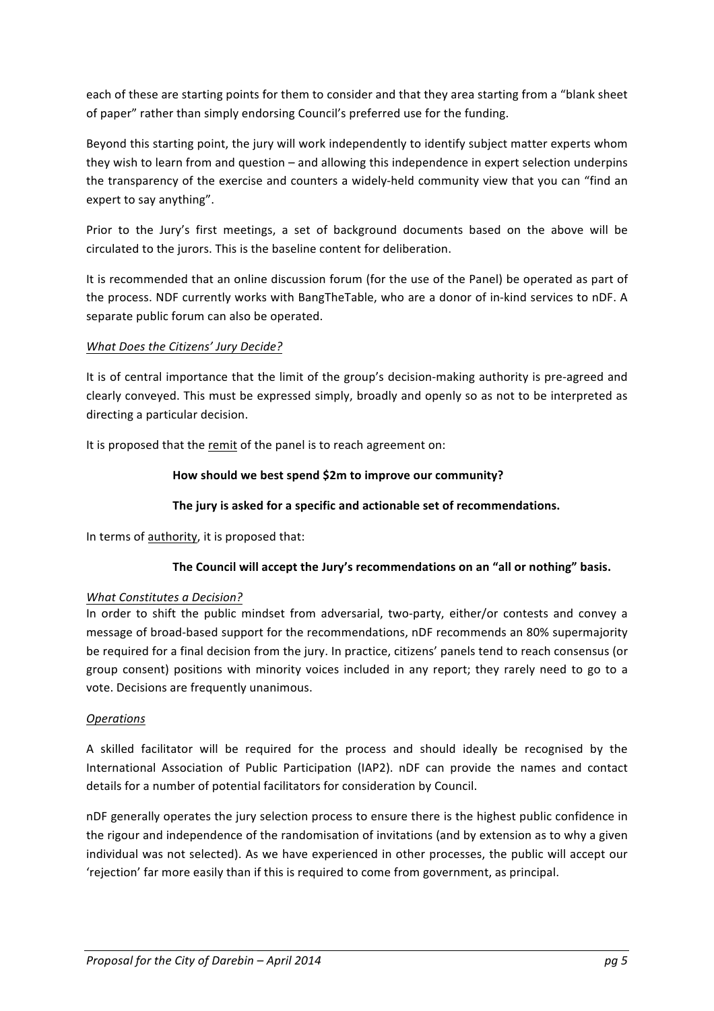each of these are starting points for them to consider and that they area starting from a "blank sheet of paper" rather than simply endorsing Council's preferred use for the funding.

Beyond this starting point, the jury will work independently to identify subject matter experts whom they wish to learn from and question  $-$  and allowing this independence in expert selection underpins the transparency of the exercise and counters a widely-held community view that you can "find an expert to say anything".

Prior to the Jury's first meetings, a set of background documents based on the above will be circulated to the jurors. This is the baseline content for deliberation.

It is recommended that an online discussion forum (for the use of the Panel) be operated as part of the process. NDF currently works with BangTheTable, who are a donor of in-kind services to nDF. A separate public forum can also be operated.

## *What Does the Citizens' Jury Decide?*

It is of central importance that the limit of the group's decision-making authority is pre-agreed and clearly conveyed. This must be expressed simply, broadly and openly so as not to be interpreted as directing a particular decision.

It is proposed that the remit of the panel is to reach agreement on:

## How should we best spend \$2m to improve our community?

## The jury is asked for a specific and actionable set of recommendations.

In terms of authority, it is proposed that:

## The Council will accept the Jury's recommendations on an "all or nothing" basis.

#### **What Constitutes a Decision?**

In order to shift the public mindset from adversarial, two-party, either/or contests and convey a message of broad-based support for the recommendations, nDF recommends an 80% supermajority be required for a final decision from the jury. In practice, citizens' panels tend to reach consensus (or group consent) positions with minority voices included in any report; they rarely need to go to a vote. Decisions are frequently unanimous.

#### *Operations*

A skilled facilitator will be required for the process and should ideally be recognised by the International Association of Public Participation (IAP2). nDF can provide the names and contact details for a number of potential facilitators for consideration by Council.

nDF generally operates the jury selection process to ensure there is the highest public confidence in the rigour and independence of the randomisation of invitations (and by extension as to why a given individual was not selected). As we have experienced in other processes, the public will accept our 'rejection' far more easily than if this is required to come from government, as principal.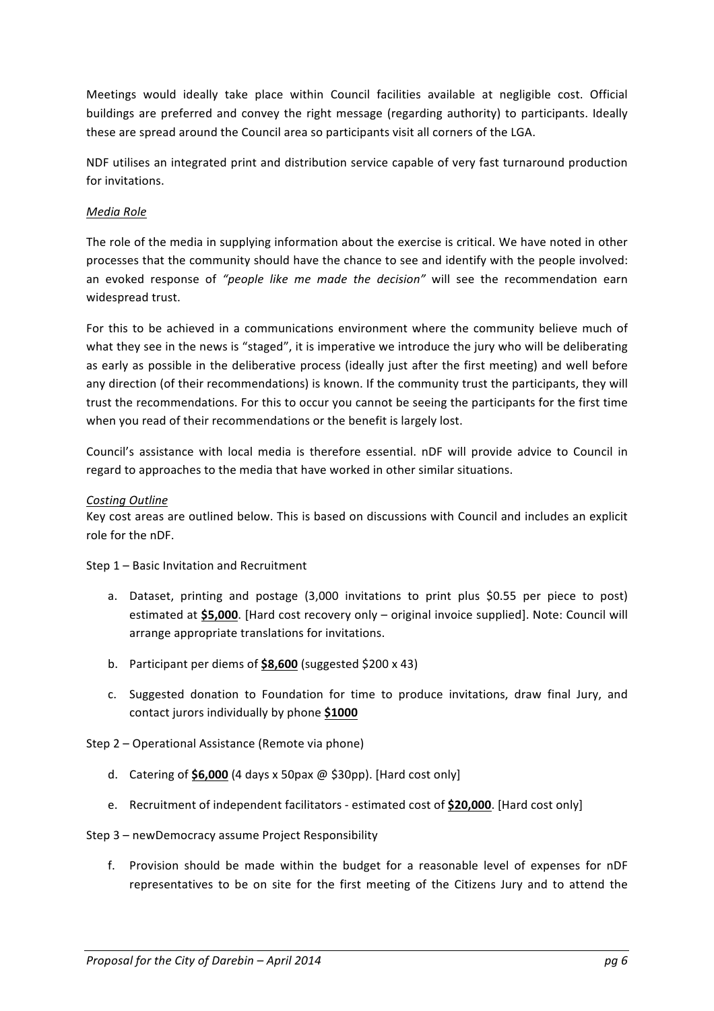Meetings would ideally take place within Council facilities available at negligible cost. Official buildings are preferred and convey the right message (regarding authority) to participants. Ideally these are spread around the Council area so participants visit all corners of the LGA.

NDF utilises an integrated print and distribution service capable of very fast turnaround production for invitations.

#### *Media Role*

The role of the media in supplying information about the exercise is critical. We have noted in other processes that the community should have the chance to see and identify with the people involved: an evoked response of "people like me made the decision" will see the recommendation earn widespread trust.

For this to be achieved in a communications environment where the community believe much of what they see in the news is "staged", it is imperative we introduce the jury who will be deliberating as early as possible in the deliberative process (ideally just after the first meeting) and well before any direction (of their recommendations) is known. If the community trust the participants, they will trust the recommendations. For this to occur you cannot be seeing the participants for the first time when you read of their recommendations or the benefit is largely lost.

Council's assistance with local media is therefore essential. nDF will provide advice to Council in regard to approaches to the media that have worked in other similar situations.

#### *Costing Outline*

Key cost areas are outlined below. This is based on discussions with Council and includes an explicit role for the nDF.

Step  $1$  – Basic Invitation and Recruitment

- a. Dataset, printing and postage (3,000 invitations to print plus \$0.55 per piece to post) estimated at \$5,000. [Hard cost recovery only – original invoice supplied]. Note: Council will arrange appropriate translations for invitations.
- b. Participant per diems of **\$8,600** (suggested \$200 x 43)
- c. Suggested donation to Foundation for time to produce invitations, draw final Jury, and contact jurors individually by phone \$1000
- Step 2 Operational Assistance (Remote via phone)
	- d. Catering of  $$6,000$  (4 days x 50pax  $@$   $$30pp$ ). [Hard cost only]
	- e. Recruitment of independent facilitators estimated cost of \$20,000. [Hard cost only]
- Step 3 newDemocracy assume Project Responsibility
	- f. Provision should be made within the budget for a reasonable level of expenses for nDF representatives to be on site for the first meeting of the Citizens Jury and to attend the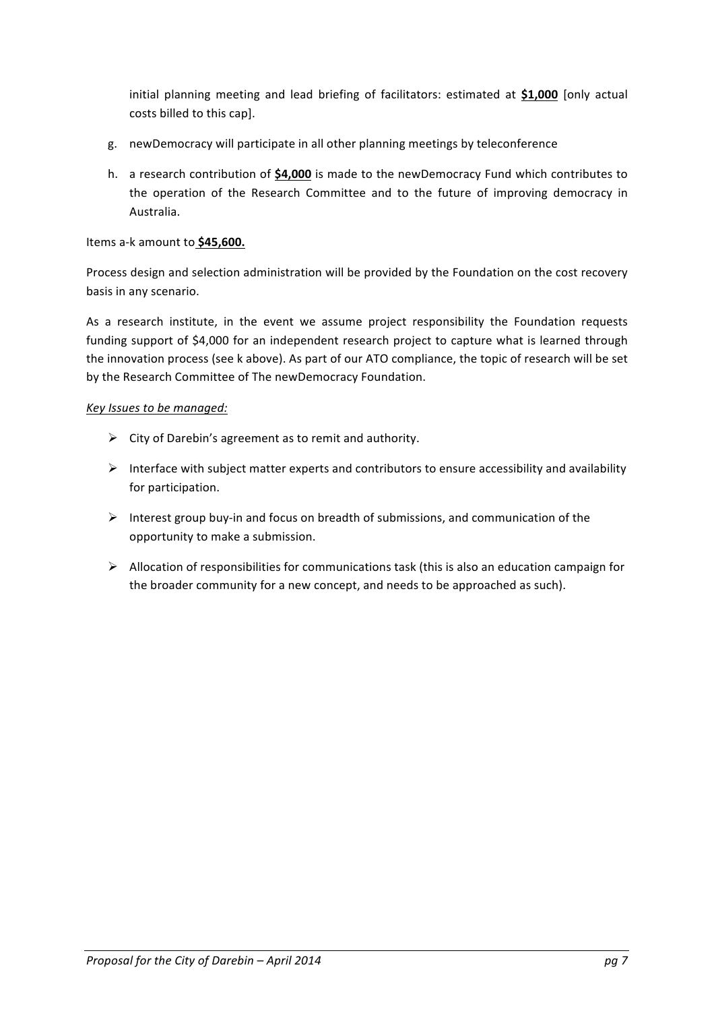initial planning meeting and lead briefing of facilitators: estimated at \$1,000 [only actual costs billed to this cap].

- g. new Democracy will participate in all other planning meetings by teleconference
- h. a research contribution of **\$4,000** is made to the newDemocracy Fund which contributes to the operation of the Research Committee and to the future of improving democracy in Australia.

Items a-k amount to \$45,600.

Process design and selection administration will be provided by the Foundation on the cost recovery basis in any scenario.

As a research institute, in the event we assume project responsibility the Foundation requests funding support of \$4,000 for an independent research project to capture what is learned through the innovation process (see k above). As part of our ATO compliance, the topic of research will be set by the Research Committee of The newDemocracy Foundation.

#### *Key Issues to be managed:*

- $\triangleright$  City of Darebin's agreement as to remit and authority.
- $\triangleright$  Interface with subject matter experts and contributors to ensure accessibility and availability for participation.
- $\triangleright$  Interest group buy-in and focus on breadth of submissions, and communication of the opportunity to make a submission.
- $\triangleright$  Allocation of responsibilities for communications task (this is also an education campaign for the broader community for a new concept, and needs to be approached as such).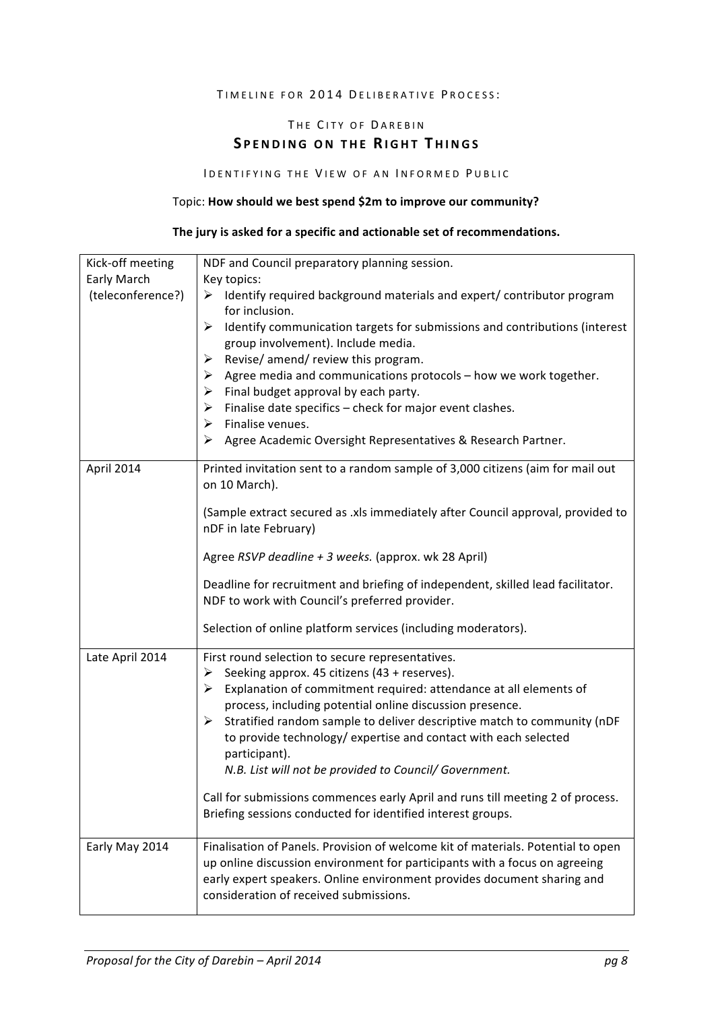#### TIMELINE FOR 2014 DELIBERATIVE PROCESS:

## THE CITY OF DAREBIN **SPENDING ON THE RIGHT THINGS**

#### IDENTIFYING THE VIEW OF AN INFORMED PUBLIC

#### Topic: **How should we best spend \$2m to improve our community?**

#### The jury is asked for a specific and actionable set of recommendations.

| Kick-off meeting  | NDF and Council preparatory planning session.                                                                                                                                                   |
|-------------------|-------------------------------------------------------------------------------------------------------------------------------------------------------------------------------------------------|
| Early March       | Key topics:                                                                                                                                                                                     |
| (teleconference?) | $\triangleright$ Identify required background materials and expert/ contributor program<br>for inclusion.                                                                                       |
|                   | Identify communication targets for submissions and contributions (interest<br>➤<br>group involvement). Include media.                                                                           |
|                   | Revise/ amend/ review this program.<br>➤                                                                                                                                                        |
|                   | $\triangleright$ Agree media and communications protocols – how we work together.                                                                                                               |
|                   | Final budget approval by each party.<br>➤                                                                                                                                                       |
|                   | Finalise date specifics - check for major event clashes.<br>≻                                                                                                                                   |
|                   | Finalise venues.<br>➤                                                                                                                                                                           |
|                   | Agree Academic Oversight Representatives & Research Partner.<br>➤                                                                                                                               |
| April 2014        | Printed invitation sent to a random sample of 3,000 citizens (aim for mail out<br>on 10 March).                                                                                                 |
|                   | (Sample extract secured as .xls immediately after Council approval, provided to<br>nDF in late February)                                                                                        |
|                   | Agree RSVP deadline + 3 weeks. (approx. wk 28 April)                                                                                                                                            |
|                   | Deadline for recruitment and briefing of independent, skilled lead facilitator.<br>NDF to work with Council's preferred provider.                                                               |
|                   | Selection of online platform services (including moderators).                                                                                                                                   |
| Late April 2014   | First round selection to secure representatives.                                                                                                                                                |
|                   | Seeking approx. 45 citizens (43 + reserves).<br>➤                                                                                                                                               |
|                   | Explanation of commitment required: attendance at all elements of<br>➤                                                                                                                          |
|                   | process, including potential online discussion presence.                                                                                                                                        |
|                   | Stratified random sample to deliver descriptive match to community (nDF<br>➤                                                                                                                    |
|                   | to provide technology/ expertise and contact with each selected<br>participant).                                                                                                                |
|                   | N.B. List will not be provided to Council/ Government.                                                                                                                                          |
|                   |                                                                                                                                                                                                 |
|                   | Call for submissions commences early April and runs till meeting 2 of process.                                                                                                                  |
|                   | Briefing sessions conducted for identified interest groups.                                                                                                                                     |
| Early May 2014    | Finalisation of Panels. Provision of welcome kit of materials. Potential to open                                                                                                                |
|                   | up online discussion environment for participants with a focus on agreeing<br>early expert speakers. Online environment provides document sharing and<br>consideration of received submissions. |